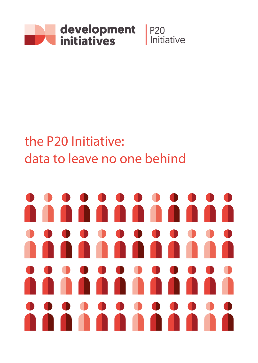

## the P20 Initiative: data to leave no one behind

# u.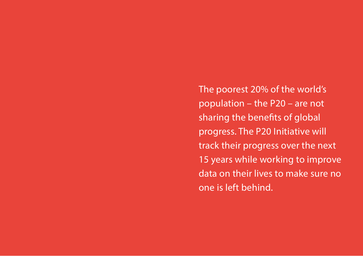The poorest 20% of the world's population – the P20 – are not sharing the benefits of global progress. The P20 Initiative will track their progress over the next 15 years while working to improve data on their lives to make sure no one is left behind.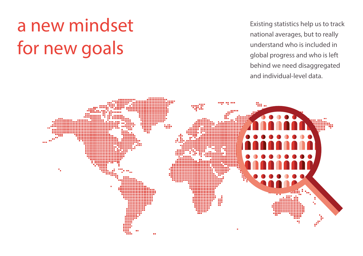# a new mindset for new goals

Existing statistics help us to track national averages, but to really understand who is included in global progress and who is left behind we need disaggregated and individual-level data.

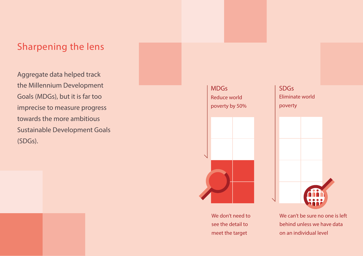## Sharpening the lens

Aggregate data helped track the Millennium Development Goals (MDGs), but it is far too imprecise to measure progress towards the more ambitious Sustainable Development Goals (SDGs).



We don't need to see the detail to meet the target



We can't be sure no one is left behind unless we have data on an individual level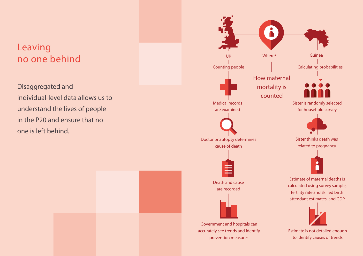# Leaving no one behind

Disaggregated and individual-level data allows us to understand the lives of people in the P20 and ensure that no one is left behind.

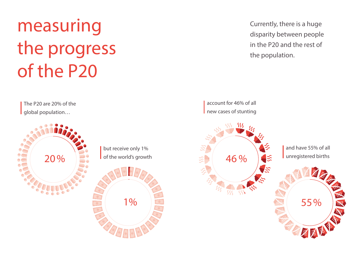# measuring the progress of the P20

The P20 are 20% of the global population…



Currently, there is a huge disparity between people in the P20 and the rest of the population.

account for 46% of all new cases of stunting

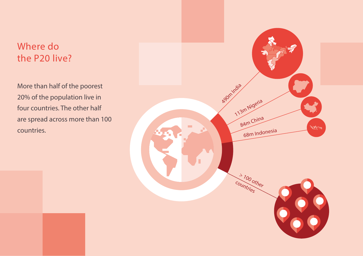# Where do the P20 live?

More than half of the poorest 20% of the population live in four countries. The other half are spread across more than 100 countries.

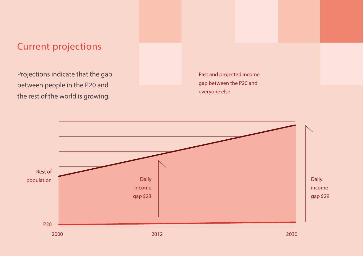## Current projections

Projections indicate that the gap between people in the P20 and the rest of the world is growing.

Past and projected income gap between the P20 and everyone else

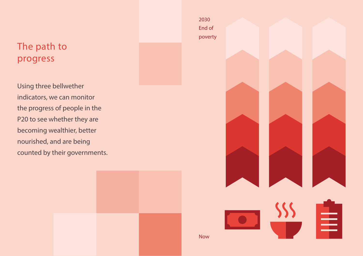# The path to progress

Using three bellwether indicators, we can monitor the progress of people in the P20 to see whether they are becoming wealthier, better nourished, and are being counted by their governments.



≡

2030 End of poverty

Now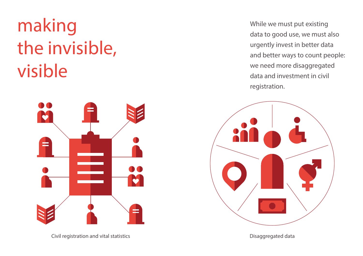# making the invisible, visible



Civil registration and vital statistics **Disaggregated data** Disaggregated data

While we must put existing data to good use, we must also urgently invest in better data and better ways to count people: we need more disaggregated data and investment in civil registration.

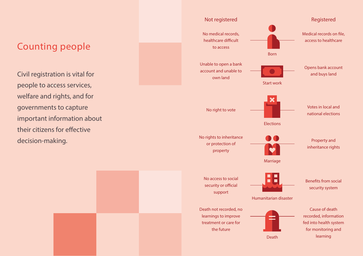## Counting people

Civil registration is vital for people to access services, welfare and rights, and for governments to capture important information about their citizens for effective decision-making.

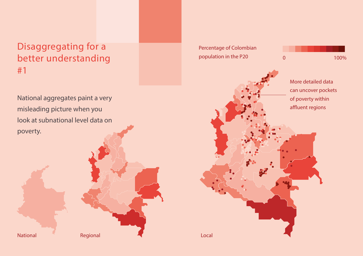# Disaggregating for a better understanding #1

National aggregates paint a very misleading picture when you look at subnational level data on poverty.

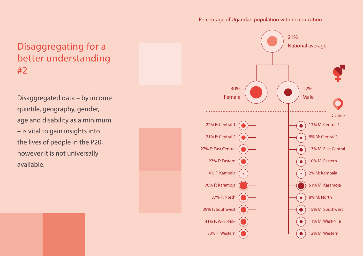### Percentage of Ugandan population with no education

# Disaggregating for a better understanding #2

Disaggregated data – by income quintile, geography, gender, age and disability as a minimum – is vital to gain insights into the lives of people in the P20, however it is not universally available.

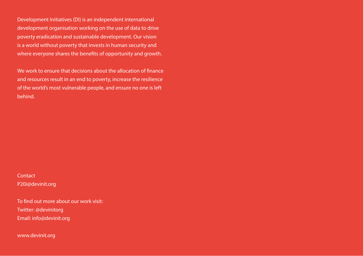Development Initiatives (DI) is an independent international development organisation working on the use of data to drive poverty eradication and sustainable development. Our vision is a world without poverty that invests in human security and where everyone shares the benefits of opportunity and growth.

We work to ensure that decisions about the allocation of finance and resources result in an end to poverty, increase the resilience of the world's most vulnerable people, and ensure no one is left behind.

**Contact** P20i@devinit.org

To find out more about our work visit: Twitter: @devinitorg Email: info@devinit.org

www.devinit.org